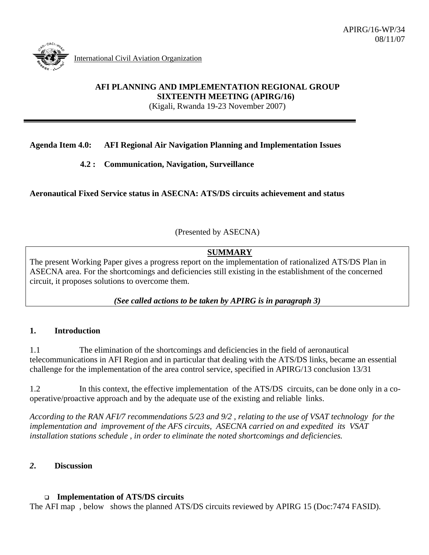

International Civil Aviation Organization

### **AFI PLANNING AND IMPLEMENTATION REGIONAL GROUP SIXTEENTH MEETING (APIRG/16)**

(Kigali, Rwanda 19-23 November 2007)

# **Agenda Item 4.0: AFI Regional Air Navigation Planning and Implementation Issues**

# **4.2 : Communication, Navigation, Surveillance**

**Aeronautical Fixed Service status in ASECNA: ATS/DS circuits achievement and status** 

(Presented by ASECNA)

# **SUMMARY**

The present Working Paper gives a progress report on the implementation of rationalized ATS/DS Plan in ASECNA area. For the shortcomings and deficiencies still existing in the establishment of the concerned circuit, it proposes solutions to overcome them.

*(See called actions to be taken by APIRG is in paragraph 3)* 

# **1. Introduction**

1.1 The elimination of the shortcomings and deficiencies in the field of aeronautical telecommunications in AFI Region and in particular that dealing with the ATS/DS links, became an essential challenge for the implementation of the area control service, specified in APIRG/13 conclusion 13/31

1.2 In this context, the effective implementation of the ATS/DS circuits, can be done only in a cooperative/proactive approach and by the adequate use of the existing and reliable links.

*According to the RAN AFI/7 recommendations 5/23 and 9/2 , relating to the use of VSAT technology for the implementation and improvement of the AFS circuits, ASECNA carried on and expedited its VSAT installation stations schedule , in order to eliminate the noted shortcomings and deficiencies.* 

# *2***. Discussion**

# **Implementation of ATS/DS circuits**

The AFI map , below shows the planned ATS/DS circuits reviewed by APIRG 15 (Doc:7474 FASID).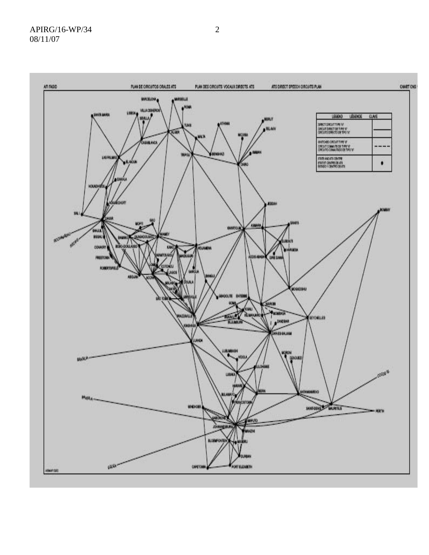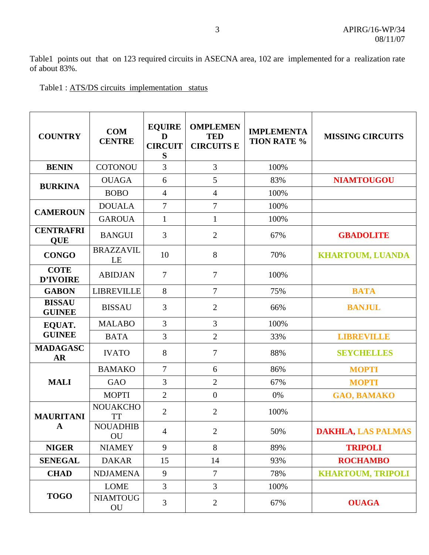Table1 points out that on 123 required circuits in ASECNA area, 102 are implemented for a realization rate of about 83%.

# Table1 : ATS/DS circuits implementation status

| <b>COUNTRY</b>                   | <b>COM</b><br><b>CENTRE</b>  | <b>EQUIRE</b><br>D<br><b>CIRCUIT</b><br>S | <b>OMPLEMEN</b><br><b>TED</b><br><b>CIRCUITS E</b> | <b>IMPLEMENTA</b><br><b>TION RATE %</b> | <b>MISSING CIRCUITS</b>   |
|----------------------------------|------------------------------|-------------------------------------------|----------------------------------------------------|-----------------------------------------|---------------------------|
| <b>BENIN</b>                     | <b>COTONOU</b>               | 3                                         | 3                                                  | 100%                                    |                           |
| <b>BURKINA</b>                   | <b>OUAGA</b>                 | 6                                         | 5                                                  | 83%                                     | <b>NIAMTOUGOU</b>         |
|                                  | <b>BOBO</b>                  | $\overline{4}$                            | $\overline{4}$                                     | 100%                                    |                           |
| <b>CAMEROUN</b>                  | <b>DOUALA</b>                | $\overline{7}$                            | $\overline{7}$                                     | 100%                                    |                           |
|                                  | <b>GAROUA</b>                | $\mathbf{1}$                              | $\mathbf{1}$                                       | 100%                                    |                           |
| <b>CENTRAFRI</b><br><b>QUE</b>   | <b>BANGUI</b>                | 3                                         | $\overline{2}$                                     | 67%                                     | <b>GBADOLITE</b>          |
| <b>CONGO</b>                     | <b>BRAZZAVIL</b><br>LE       | 10                                        | 8                                                  | 70%                                     | <b>KHARTOUM, LUANDA</b>   |
| <b>COTE</b><br><b>D'IVOIRE</b>   | <b>ABIDJAN</b>               | 7                                         | 7                                                  | 100%                                    |                           |
| <b>GABON</b>                     | <b>LIBREVILLE</b>            | 8                                         | $\overline{7}$                                     | 75%                                     | <b>BATA</b>               |
| <b>BISSAU</b><br><b>GUINEE</b>   | <b>BISSAU</b>                | 3                                         | $\overline{2}$                                     | 66%                                     | <b>BANJUL</b>             |
| EQUAT.<br><b>GUINEE</b>          | <b>MALABO</b>                | 3                                         | $\overline{3}$                                     | 100%                                    |                           |
|                                  | <b>BATA</b>                  | 3                                         | $\overline{2}$                                     | 33%                                     | <b>LIBREVILLE</b>         |
| <b>MADAGASC</b><br><b>AR</b>     | <b>IVATO</b>                 | 8                                         | $\overline{7}$                                     | 88%                                     | <b>SEYCHBLLES</b>         |
| <b>MALI</b>                      | <b>BAMAKO</b>                | $\overline{7}$                            | 6                                                  | 86%                                     | <b>MOPTI</b>              |
|                                  | <b>GAO</b>                   | 3                                         | $\overline{2}$                                     | 67%                                     | <b>MOPTI</b>              |
|                                  | <b>MOPTI</b>                 | $\overline{2}$                            | $\overline{0}$                                     | 0%                                      | <b>GAO, BAMAKO</b>        |
| <b>MAURITANI</b><br>$\mathbf{A}$ | <b>NOUAKCHO</b><br><b>TT</b> | $\overline{2}$                            | $\overline{2}$                                     | 100%                                    |                           |
|                                  | <b>NOUADHIB</b><br>OU        | $\overline{4}$                            | $\mathbf{2}$                                       | 50%                                     | <b>DAKHLA, LAS PALMAS</b> |
| <b>NIGER</b>                     | <b>NIAMEY</b>                | 9                                         | 8                                                  | 89%                                     | <b>TRIPOLI</b>            |
| <b>SENEGAL</b>                   | <b>DAKAR</b>                 | 15                                        | 14                                                 | 93%                                     | <b>ROCHAMBO</b>           |
| <b>CHAD</b>                      | <b>NDJAMENA</b>              | 9                                         | 7                                                  | 78%                                     | <b>KHARTOUM, TRIPOLI</b>  |
| <b>TOGO</b>                      | <b>LOME</b>                  | 3                                         | 3                                                  | 100%                                    |                           |
|                                  | <b>NIAMTOUG</b><br>OU        | 3                                         | $\overline{2}$                                     | 67%                                     | <b>OUAGA</b>              |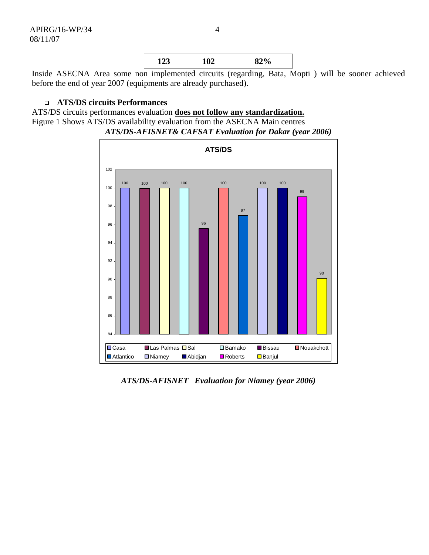

Inside ASECNA Area some non implemented circuits (regarding, Bata, Mopti ) will be sooner achieved before the end of year 2007 (equipments are already purchased).

### **ATS/DS circuits Performances**

ATS/DS circuits performances evaluation **does not follow any standardization.** Figure 1 Shows ATS/DS availability evaluation from the ASECNA Main centres



*ATS/DS-AFISNET Evaluation for Niamey (year 2006)*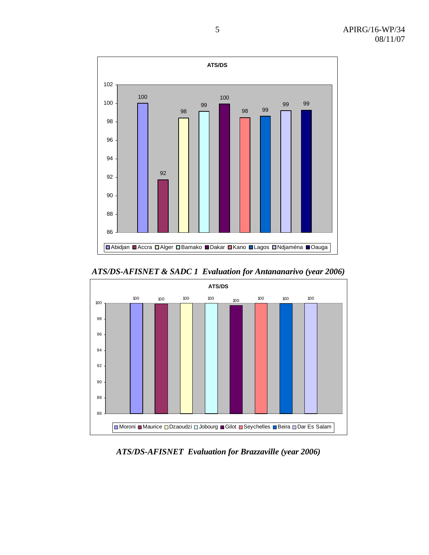

*ATS/DS-AFISNET & SADC 1 Evaluation for Antananarivo (year 2006)* 



*ATS/DS-AFISNET Evaluation for Brazzaville (year 2006)*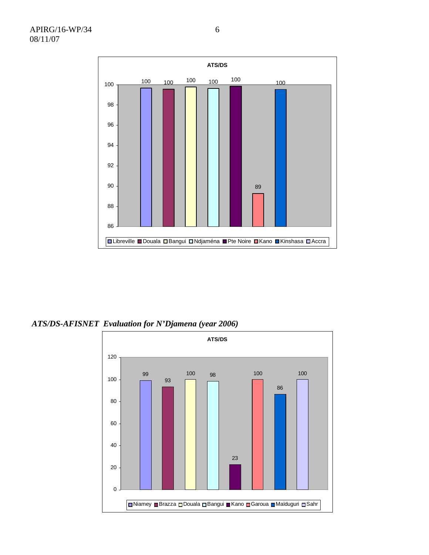

*ATS/DS-AFISNET Evaluation for N'Djamena (year 2006)* 

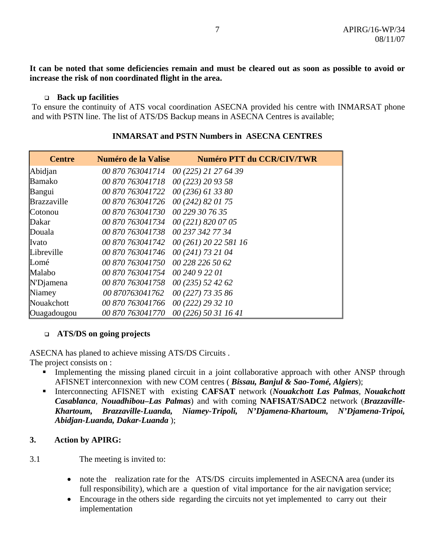**It can be noted that some deficiencies remain and must be cleared out as soon as possible to avoid or increase the risk of non coordinated flight in the area.** 

#### **Back up facilities**

To ensure the continuity of ATS vocal coordination ASECNA provided his centre with INMARSAT phone and with PSTN line. The list of ATS/DS Backup means in ASECNA Centres is available;

| <b>Centre</b>      | Numéro de la Valise | Numéro PTT du CCR/CIV/TWR |
|--------------------|---------------------|---------------------------|
| Abidjan            | 00 870 763041714    | 00 (225) 21 27 64 39      |
| <b>Bamako</b>      | 00 870 763041718    | 00 (223) 20 93 58         |
| Bangui             | 00 870 763041722    | 00 (236) 61 33 80         |
| <b>Brazzaville</b> | 00 870 763041726    | 00 (242) 82 01 75         |
| Cotonou            | 00 870 763041730    | 00 229 30 76 35           |
| Dakar              | 00 870 763041734    | 00 (221) 820 07 05        |
| Douala             | 00 870 763041738    | 00 237 342 77 34          |
| Ivato              | 00 870 763041742    | 00 (261) 20 22 581 16     |
| Libreville         | 00 870 763041746    | 00 (241) 73 21 04         |
| Lomé               | 00 870 763041750    | 00 228 226 50 62          |
| Malabo             | 00 870 763041754    | 00 240 9 22 01            |
| N'Djamena          | 00 870 763041758    | 00 (235) 52 42 62         |
| Niamey             | 00 870763041762     | 00 (227) 73 35 86         |
| Nouakchott         | 00 870 763041766    | 00 (222) 29 32 10         |
| Ouagadougou        | 00 870 763041770    | 00 (226) 50 31 16 41      |

### **INMARSAT and PSTN Numbers in ASECNA CENTRES**

### **ATS/DS on going projects**

ASECNA has planed to achieve missing ATS/DS Circuits .

The project consists on :

- Implementing the missing planed circuit in a joint collaborative approach with other ANSP through AFISNET interconnexion with new COM centres ( *Bissau, Banjul & Sao-Tomé, Algiers*);
- Interconnecting AFISNET with existing **CAFSAT** network (*Nouakchott Las Palmas, Nouakchott Casablanca, Nouadhibou–Las Palmas*) and with coming **NAFISAT/SADC2** network (*Brazzaville-Khartoum, Brazzaville-Luanda, Niamey-Tripoli, N'Djamena-Khartoum, N'Djamena-Tripoi, Abidjan-Luanda, Dakar-Luanda* );

### **3. Action by APIRG:**

- 3.1 The meeting is invited to:
	- note the realization rate for the ATS/DS circuits implemented in ASECNA area (under its full responsibility), which are a question of vital importance for the air navigation service;
	- Encourage in the others side regarding the circuits not yet implemented to carry out their implementation